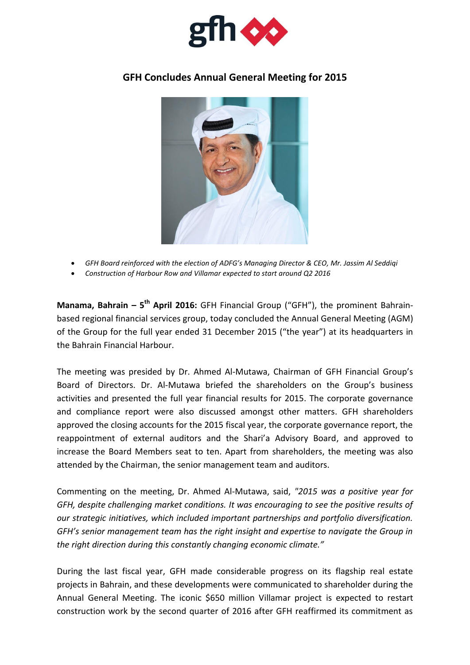

## **GFH Concludes Annual General Meeting for 2015**



- *GFH Board reinforced with the election of ADFG's Managing Director & CEO, Mr. Jassim Al Seddiqi*
- *Construction of Harbour Row and Villamar expected to start around Q2 2016*

**Manama, Bahrain – 5 th April 2016:** GFH Financial Group ("GFH"), the prominent Bahrainbased regional financial services group, today concluded the Annual General Meeting (AGM) of the Group for the full year ended 31 December 2015 ("the year") at its headquarters in the Bahrain Financial Harbour.

The meeting was presided by Dr. Ahmed Al-Mutawa, Chairman of GFH Financial Group's Board of Directors. Dr. Al-Mutawa briefed the shareholders on the Group's business activities and presented the full year financial results for 2015. The corporate governance and compliance report were also discussed amongst other matters. GFH shareholders approved the closing accounts for the 2015 fiscal year, the corporate governance report, the reappointment of external auditors and the Shari'a Advisory Board, and approved to increase the Board Members seat to ten. Apart from shareholders, the meeting was also attended by the Chairman, the senior management team and auditors.

Commenting on the meeting, Dr. Ahmed Al-Mutawa, said, *"2015 was a positive year for GFH, despite challenging market conditions. It was encouraging to see the positive results of our strategic initiatives, which included important partnerships and portfolio diversification. GFH's senior management team has the right insight and expertise to navigate the Group in the right direction during this constantly changing economic climate."*

During the last fiscal year, GFH made considerable progress on its flagship real estate projects in Bahrain, and these developments were communicated to shareholder during the Annual General Meeting. The iconic \$650 million Villamar project is expected to restart construction work by the second quarter of 2016 after GFH reaffirmed its commitment as